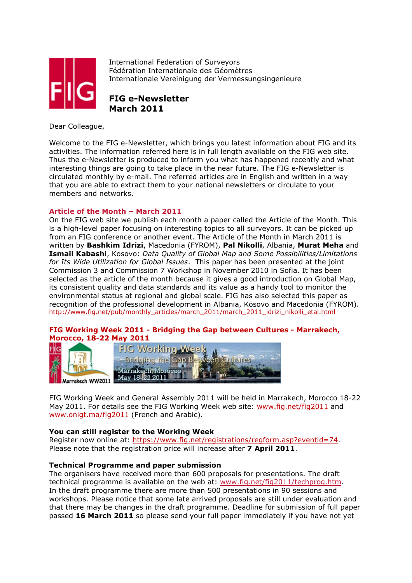

International Federation of Surveyors Fédération Internationale des Géomètres Internationale Vereinigung der Vermessungsingenieure

FIG e-Newsletter March 2011

Dear Colleague,

Welcome to the FIG e-Newsletter, which brings you latest information about FIG and its activities. The information referred here is in full length available on the FIG web site. Thus the e-Newsletter is produced to inform you what has happened recently and what interesting things are going to take place in the near future. The FIG e-Newsletter is circulated monthly by e-mail. The referred articles are in English and written in a way that you are able to extract them to your national newsletters or circulate to your members and networks.

# Article of the Month – March 2011

On the FIG web site we publish each month a paper called the Article of the Month. This is a high-level paper focusing on interesting topics to all surveyors. It can be picked up from an FIG conference or another event. The Article of the Month in March 2011 is written by Bashkim Idrizi, Macedonia (FYROM), Pal Nikolli, Albania, Murat Meha and Ismail Kabashi, Kosovo: Data Quality of Global Map and Some Possibilities/Limitations for Its Wide Utilization for Global Issues. This paper has been presented at the joint Commission 3 and Commission 7 Workshop in November 2010 in Sofia. It has been selected as the article of the month because it gives a good introduction on Global Map, its consistent quality and data standards and its value as a handy tool to monitor the environmental status at regional and global scale. FIG has also selected this paper as recognition of the professional development in Albania, Kosovo and Macedonia (FYROM). http://www.fig.net/pub/monthly\_articles/march\_2011/march\_2011\_idrizi\_nikolli\_etal.html

# FIG Working Week 2011 - Bridging the Gap between Cultures - Marrakech, Morocco, 18-22 May 2011



FIG Working Week and General Assembly 2011 will be held in Marrakech, Morocco 18-22 May 2011. For details see the FIG Working Week web site: www.fig.net/fig2011 and www.onigt.ma/fig2011 (French and Arabic).

### You can still register to the Working Week

Register now online at: https://www.fig.net/registrations/regform.asp?eventid=74. Please note that the registration price will increase after **7 April 2011**.

### Technical Programme and paper submission

The organisers have received more than 600 proposals for presentations. The draft technical programme is available on the web at: www.fig.net/fig2011/techprog.htm. In the draft programme there are more than 500 presentations in 90 sessions and workshops. Please notice that some late arrived proposals are still under evaluation and that there may be changes in the draft programme. Deadline for submission of full paper passed 16 March 2011 so please send your full paper immediately if you have not yet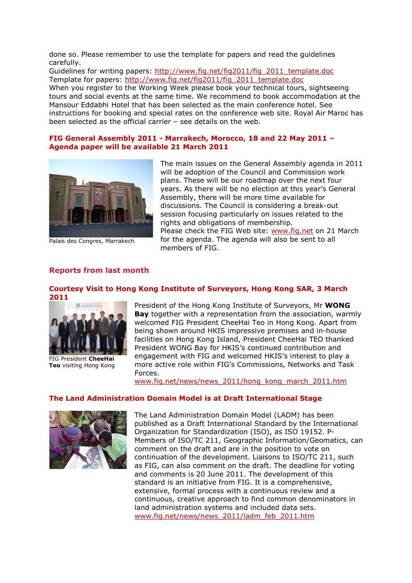done so. Please remember to use the template for papers and read the guidelines carefully.

Guidelines for writing papers: http://www.fig.net/fig2011/fig\_2011\_template.doc Template for papers: http://www.fig.net/fig2011/fig\_2011\_template.doc When you register to the Working Week please book your technical tours, sightseeing tours and social events at the same time. We recommend to book accommodation at the Mansour Eddabhi Hotel that has been selected as the main conference hotel. See instructions for booking and special rates on the conference web site. Royal Air Maroc has been selected as the official carrier – see details on the web.

#### FIG General Assembly 2011 - Marrakech, Morocco, 18 and 22 May 2011 – Agenda paper will be available 21 March 2011



Palais des Congres, Marrakech

The main issues on the General Assembly agenda in 2011 will be adoption of the Council and Commission work plans. These will be our roadmap over the next four years. As there will be no election at this year's General Assembly, there will be more time available for discussions. The Council is considering a break-out session focusing particularly on issues related to the rights and obligations of membership. Please check the FIG Web site: www.fig.net on 21 March for the agenda. The agenda will also be sent to all members of FIG.

# Reports from last month

# Courtesy Visit to Hong Kong Institute of Surveyors, Hong Kong SAR, 3 March 2011



FIG President CheeHai Teo visiting Hong Kong

President of the Hong Kong Institute of Surveyors, Mr WONG Bay together with a representation from the association, warmly welcomed FIG President CheeHai Teo in Hong Kong. Apart from being shown around HKIS impressive premises and in-house facilities on Hong Kong Island, President CheeHai TEO thanked President WONG Bay for HKIS's continued contribution and engagement with FIG and welcomed HKIS's interest to play a more active role within FIG's Commissions, Networks and Task Forces.

www.fig.net/news/news\_2011/hong\_kong\_march\_2011.htm

### The Land Administration Domain Model is at Draft International Stage



The Land Administration Domain Model (LADM) has been published as a Draft International Standard by the International Organization for Standardization (ISO), as ISO 19152. P-Members of ISO/TC 211, Geographic Information/Geomatics, can comment on the draft and are in the position to vote on continuation of the development. Liaisons to ISO/TC 211, such as FIG, can also comment on the draft. The deadline for voting and comments is 20 June 2011. The development of this standard is an initiative from FIG. It is a comprehensive, extensive, formal process with a continuous review and a continuous, creative approach to find common denominators in land administration systems and included data sets. www.fig.net/news/news\_2011/ladm\_feb\_2011.htm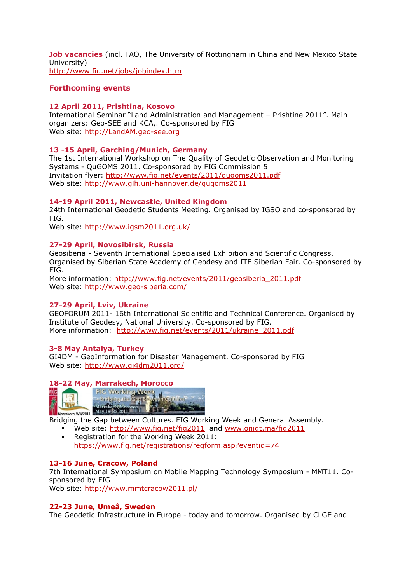Job vacancies (incl. FAO, The University of Nottingham in China and New Mexico State University) http://www.fig.net/jobs/jobindex.htm

### Forthcoming events

### 12 April 2011, Prishtina, Kosovo

International Seminar "Land Administration and Management – Prishtine 2011". Main organizers: Geo-SEE and KCA,. Co-sponsored by FIG Web site: http://LandAM.geo-see.org

# 13 -15 April, Garching/Munich, Germany

The 1st International Workshop on The Quality of Geodetic Observation and Monitoring Systems - QuGOMS 2011. Co-sponsored by FIG Commission 5 Invitation flyer: http://www.fig.net/events/2011/qugoms2011.pdf Web site: http://www.gih.uni-hannover.de/qugoms2011

# 14-19 April 2011, Newcastle, United Kingdom

24th International Geodetic Students Meeting. Organised by IGSO and co-sponsored by FIG.

Web site: http://www.igsm2011.org.uk/

### 27-29 April, Novosibirsk, Russia

Geosiberia - Seventh International Specialised Exhibition and Scientific Congress. Organised by Siberian State Academy of Geodesy and ITE Siberian Fair. Co-sponsored by FIG.

More information: http://www.fig.net/events/2011/geosiberia\_2011.pdf Web site: http://www.geo-siberia.com/

### 27-29 April, Lviv, Ukraine

GEOFORUM 2011- 16th International Scientific and Technical Conference. Organised by Institute of Geodesy, National University. Co-sponsored by FIG. More information: http://www.fig.net/events/2011/ukraine\_2011.pdf

### 3-8 May Antalya, Turkey

GI4DM - GeoInformation for Disaster Management. Co-sponsored by FIG Web site: http://www.gi4dm2011.org/

### 18-22 May, Marrakech, Morocco



 Web site: http://www.fig.net/fig2011 and www.onigt.ma/fig2011 **Registration for the Working Week 2011:** https://www.fig.net/registrations/regform.asp?eventid=74

### 13-16 June, Cracow, Poland

7th International Symposium on Mobile Mapping Technology Symposium - MMT11. Cosponsored by FIG

Web site: http://www.mmtcracow2011.pl/

### 22-23 June, Umeå, Sweden

The Geodetic Infrastructure in Europe - today and tomorrow. Organised by CLGE and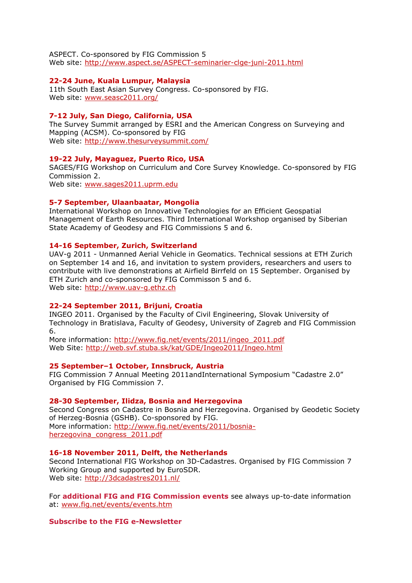ASPECT. Co-sponsored by FIG Commission 5 Web site: http://www.aspect.se/ASPECT-seminarier-clge-juni-2011.html

#### 22-24 June, Kuala Lumpur, Malaysia

11th South East Asian Survey Congress. Co-sponsored by FIG. Web site: www.seasc2011.org/

#### 7-12 July, San Diego, California, USA

The Survey Summit arranged by ESRI and the American Congress on Surveying and Mapping (ACSM). Co-sponsored by FIG Web site: http://www.thesurveysummit.com/

#### 19-22 July, Mayaguez, Puerto Rico, USA

SAGES/FIG Workshop on Curriculum and Core Survey Knowledge. Co-sponsored by FIG Commission 2. Web site: www.sages2011.uprm.edu

# 5-7 September, Ulaanbaatar, Mongolia

International Workshop on Innovative Technologies for an Efficient Geospatial Management of Earth Resources. Third International Workshop organised by Siberian State Academy of Geodesy and FIG Commissions 5 and 6.

### 14-16 September, Zurich, Switzerland

UAV-g 2011 - Unmanned Aerial Vehicle in Geomatics. Technical sessions at ETH Zurich on September 14 and 16, and invitation to system providers, researchers and users to contribute with live demonstrations at Airfield Birrfeld on 15 September. Organised by ETH Zurich and co-sponsored by FIG Commisson 5 and 6. Web site: http://www.uav-g.ethz.ch

#### 22-24 September 2011, Brijuni, Croatia

INGEO 2011. Organised by the Faculty of Civil Engineering, Slovak University of Technology in Bratislava, Faculty of Geodesy, University of Zagreb and FIG Commission 6.

More information: http://www.fig.net/events/2011/ingeo\_2011.pdf Web Site: http://web.svf.stuba.sk/kat/GDE/Ingeo2011/Ingeo.html

#### 25 September–1 October, Innsbruck, Austria

FIG Commission 7 Annual Meeting 2011andInternational Symposium "Cadastre 2.0" Organised by FIG Commission 7.

#### 28-30 September, Ilidza, Bosnia and Herzegovina

Second Congress on Cadastre in Bosnia and Herzegovina. Organised by Geodetic Society of Herzeg-Bosnia (GSHB). Co-sponsored by FIG. More information: http://www.fig.net/events/2011/bosniaherzegovina\_congress\_2011.pdf

#### 16-18 November 2011, Delft, the Netherlands

Second International FIG Workshop on 3D-Cadastres. Organised by FIG Commission 7 Working Group and supported by EuroSDR. Web site: http://3dcadastres2011.nl/

For additional FIG and FIG Commission events see always up-to-date information at: www.fig.net/events/events.htm

#### Subscribe to the FIG e-Newsletter